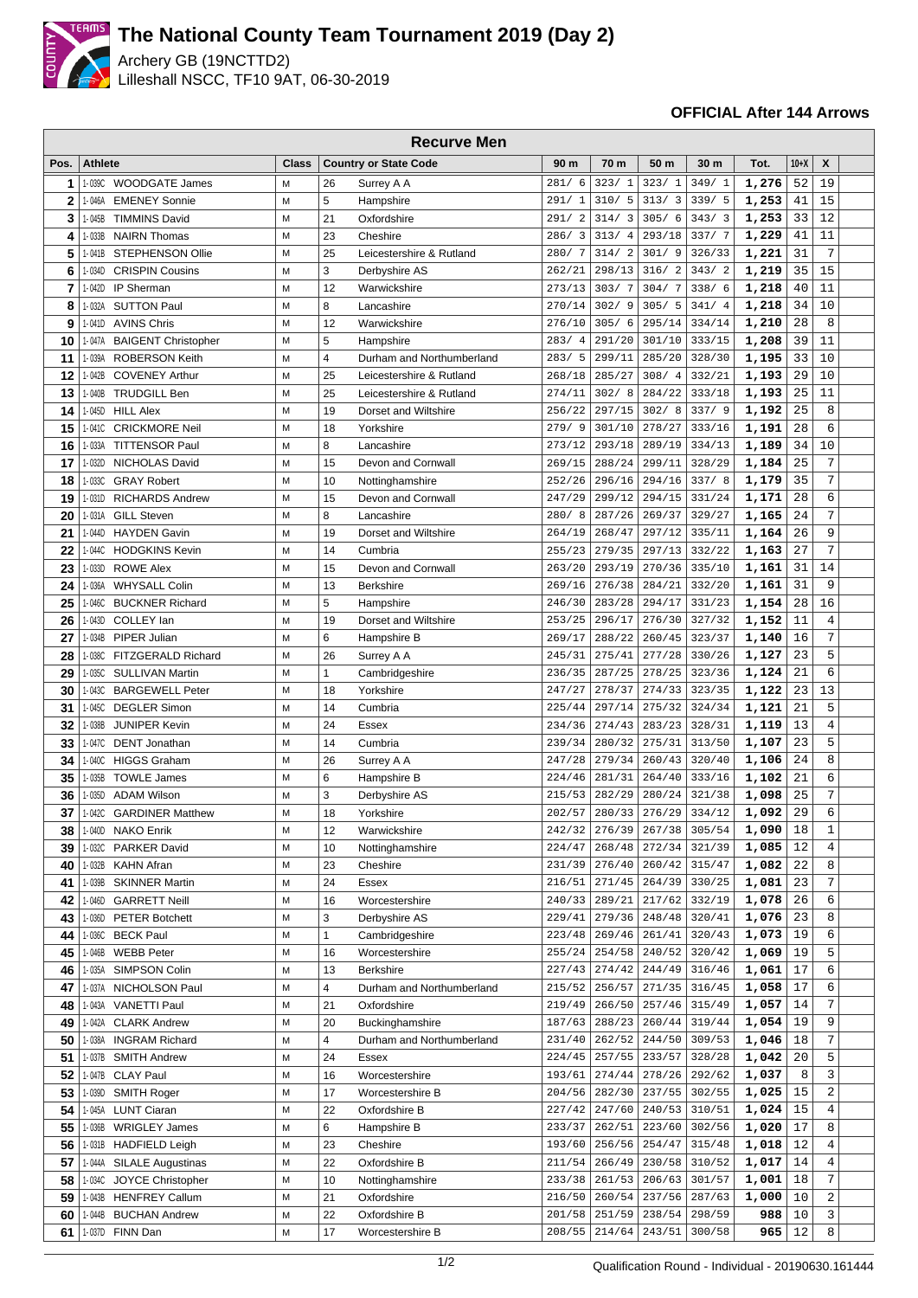

## **The National County Team Tournament 2019 (Day 2)**

Archery GB (19NCTTD2) Lilleshall NSCC, TF10 9AT, 06-30-2019

## **OFFICIAL After 144 Arrows**

|              | <b>Recurve Men</b> |                                              |              |                |                                    |                        |                  |                  |                  |                |          |                  |  |
|--------------|--------------------|----------------------------------------------|--------------|----------------|------------------------------------|------------------------|------------------|------------------|------------------|----------------|----------|------------------|--|
| Pos.         | <b>Athlete</b>     |                                              | <b>Class</b> |                | <b>Country or State Code</b>       | 90 m                   | 70 m             | 50 m             | 30 m             | Tot.           | $10+X$   | X                |  |
| 1            | 1-039C             | <b>WOODGATE James</b>                        | M            | 26             | Surrey A A                         | 281/6                  | 323/1            | 323/1            | 349/1            | 1,276          | 52       | 19               |  |
| $\mathbf{2}$ | 1-046A             | <b>EMENEY Sonnie</b>                         | M            | 5              | Hampshire                          | 291/1                  | 310/5            | 313/3            | 339/5            | 1,253          | 41       | 15               |  |
| 3            | 1-045B             | <b>TIMMINS David</b>                         | M            | 21             | Oxfordshire                        | 291/2                  | 314/3            | 305/6            | 343/3            | 1,253          | 33       | 12               |  |
| 4            | 1-033B             | <b>NAIRN Thomas</b>                          | M            | 23             | Cheshire                           | 286/3                  | 313/4            | 293/18           | 337/7            | 1,229          | 41       | 11               |  |
| 5            | 1-041B             | STEPHENSON Ollie                             | M            | 25             | Leicestershire & Rutland           | 280/7                  | 314/2            | 301/9            | 326/33           | 1,221          | 31       | $\overline{7}$   |  |
| 6            | 1-034D             | <b>CRISPIN Cousins</b>                       | M            | 3              | Derbyshire AS                      | 262/21                 | 298/13           | 316/2            | 343/2            | 1,219          | 35       | 15               |  |
| 7            | 1-042D             | IP Sherman                                   | M            | 12             | Warwickshire                       | 273/13                 | 303/7            | 304/7            | 338/6            | 1,218          | 40       | 11               |  |
| 8            | 1-032A             | <b>SUTTON Paul</b>                           | M            | 8              | Lancashire                         | 270/14                 | 302/9            | 305/<br>5        | 341/4            | 1,218          | 34       | 10               |  |
| 9            | 1-041D             | <b>AVINS Chris</b>                           | M            | 12             | Warwickshire                       | 276/10                 | 305/6            | 295/14           | 334/14           | 1,210          | 28       | 8                |  |
| 10           | 1-047A             | <b>BAIGENT Christopher</b>                   | M            | 5              | Hampshire                          | 283/<br>$\overline{4}$ | 291/20           | 301/10           | 333/15           | 1,208          | 39       | 11               |  |
| 11           | 1-039A             | <b>ROBERSON Keith</b>                        | M            | $\overline{4}$ | Durham and Northumberland          | 283/5                  | 299/11           | 285/20           | 328/30           | 1,195          | 33       | 10               |  |
| 12           | 1-042B             | <b>COVENEY Arthur</b>                        | M            | 25             | Leicestershire & Rutland           | 268/18                 | 285/27           | 308/4            | 332/21           | 1,193          | 29       | 10               |  |
| 13           | 1-040B             | <b>TRUDGILL Ben</b>                          | М            | 25             | Leicestershire & Rutland           | 274/11                 | 302/8            | 284/22           | 333/18           | 1,193          | 25       | 11               |  |
| 14           | 1-045D             | <b>HILL Alex</b>                             | M            | 19             | Dorset and Wiltshire               | 256/22                 | 297/15           | 302/8            | 337/9            | 1,192          | 25       | 8                |  |
| 15           | 1-041C             | <b>CRICKMORE Neil</b>                        | M            | 18             | Yorkshire                          | 279/9                  | 301/10           | 278/27           | 333/16           | 1,191          | 28       | 6                |  |
| 16           | 1-033A             | <b>TITTENSOR Paul</b>                        | M            | 8              | Lancashire                         | 273/12                 | 293/18           | 289/19           | 334/13           | 1,189          | 34       | 10               |  |
| 17           | 1-032D             | NICHOLAS David                               | M            | 15             | Devon and Cornwall                 | 269/15                 | 288/24           | 299/11           | 328/29           | 1,184          | 25       | 7                |  |
| 18           | 1-033C             | <b>GRAY Robert</b>                           | M            | 10             | Nottinghamshire                    | 252/26                 | 296/16           | 294/16           | 337/8            | 1,179          | 35       | 7                |  |
| 19           | 1-031D             | <b>RICHARDS Andrew</b>                       | M            | 15             | Devon and Cornwall                 | 247/29                 | 299/12           | 294/15           | 331/24           | 1,171          | 28       | 6                |  |
| 20           | 1-031A             | <b>GILL Steven</b>                           | M            | 8              | Lancashire                         | 280/8                  | 287/26           | 269/37           | 329/27           | 1,165          | 24       | 7<br>9           |  |
| 21<br>22     | 1-044D<br>1-044C   | <b>HAYDEN Gavin</b><br><b>HODGKINS Kevin</b> | M<br>M       | 19<br>14       | Dorset and Wiltshire<br>Cumbria    | 264/19<br>255/23       | 268/47<br>279/35 | 297/12<br>297/13 | 335/11<br>332/22 | 1,164<br>1,163 | 26<br>27 | 7                |  |
| 23           | 1-033D             | <b>ROWE Alex</b>                             | M            | 15             | Devon and Cornwall                 | 263/20                 | 293/19           | 270/36           | 335/10           | 1,161          | 31       | 14               |  |
| 24           | 1-036A             | <b>WHYSALL Colin</b>                         | M            | 13             | <b>Berkshire</b>                   | 269/16                 | 276/38           | 284/21           | 332/20           | 1,161          | 31       | 9                |  |
| 25           |                    | 1-046C BUCKNER Richard                       | M            | 5              | Hampshire                          | 246/30                 | 283/28           | 294/17           | 331/23           | 1,154          | 28       | 16               |  |
| 26           | 1-043D             | COLLEY lan                                   | M            | 19             | Dorset and Wiltshire               | 253/25                 | 296/17           | 276/30           | 327/32           | 1,152          | 11       | $\overline{4}$   |  |
| 27           | 1-034B             | PIPER Julian                                 | M            | 6              | Hampshire B                        | 269/17                 | 288/22           | 260/45           | 323/37           | 1,140          | 16       | 7                |  |
| 28           | 1-038C             | FITZGERALD Richard                           | M            | 26             | Surrey A A                         | 245/31                 | 275/41           | 277/28           | 330/26           | 1,127          | 23       | 5                |  |
| 29           | 1-035C             | <b>SULLIVAN Martin</b>                       | M            | $\mathbf{1}$   | Cambridgeshire                     | 236/35                 | 287/25           | 278/25           | 323/36           | 1,124          | 21       | 6                |  |
| 30           | 1-043C             | <b>BARGEWELL Peter</b>                       | M            | 18             | Yorkshire                          | 247/27                 | 278/37           | 274/33           | 323/35           | 1,122          | 23       | 13               |  |
| 31           | 1-045C             | <b>DEGLER Simon</b>                          | М            | 14             | Cumbria                            | 225/44                 | 297/14           | 275/32           | 324/34           | 1,121          | 21       | 5                |  |
| 32           | 1-038B             | <b>JUNIPER Kevin</b>                         | M            | 24             | Essex                              | 234/36                 | 274/43           | 283/23           | 328/31           | 1,119          | 13       | $\overline{4}$   |  |
| 33           | 1-047C             | <b>DENT</b> Jonathan                         | M            | 14             | Cumbria                            | 239/34                 | 280/32           | 275/31           | 313/50           | 1,107          | 23       | 5                |  |
| 34           | 1-040C             | <b>HIGGS Graham</b>                          | M            | 26             | Surrey A A                         | 247/28                 | 279/34           | 260/43           | 320/40           | 1,106          | 24       | 8                |  |
| 35           | 1-035B             | <b>TOWLE James</b>                           | M            | 6              | Hampshire B                        | 224/46                 | 281/31           | 264/40           | 333/16           | 1,102          | 21       | 6                |  |
| 36           | 1-035D             | <b>ADAM Wilson</b>                           | M            | 3              | Derbyshire AS                      | 215/53                 | 282/29           | 280/24           | 321/38           | 1,098          | 25       | 7                |  |
| 37           | 1-042C             | <b>GARDINER Matthew</b>                      | M            | 18             | Yorkshire                          | 202/57                 | 280/33           | 276/29           | 334/12           | 1,092          | 29       | 6                |  |
| 38           | 1-040D             | NAKO Enrik                                   | М            | 12             | Warwickshire                       | 242/32                 | 276/39           | 267/38           | 305/54           | 1,090          | 18       | 1                |  |
| 39           | 1-032C             | PARKER David                                 | M            | 10             | Nottinghamshire                    | 224/47                 | 268/48           | 272/34           | 321/39           | 1,085          | 12       | $\overline{4}$   |  |
| 40           | 1-032B             | <b>KAHN Afran</b>                            | М            | 23             | Cheshire                           | 231/39                 | 276/40           | 260/42           | 315/47           | 1,082          | 22       | 8                |  |
| 41           | 1-039B             | <b>SKINNER Martin</b>                        | M            | 24             | Essex                              | 216/51                 | 271/45           | 264/39           | 330/25           | 1,081          | 23       | 7                |  |
| 42           | 1-046D             | <b>GARRETT Neill</b>                         | М            | 16             | Worcestershire                     | 240/33                 | 289/21           | 217/62           | 332/19           | 1,078          | 26       | 6                |  |
| 43           | 1-036D             | <b>PETER Botchett</b>                        | M            | 3              | Derbyshire AS                      | 229/41                 | 279/36           | 248/48           | 320/41           | 1,076          | 23       | 8                |  |
| 44           | 1-036C             | <b>BECK Paul</b>                             | M            | 1              | Cambridgeshire                     | 223/48                 | 269/46           | 261/41           | 320/43           | 1,073          | 19       | 6                |  |
| 45           | 1-046B             | <b>WEBB Peter</b>                            | М            | 16             | Worcestershire                     | 255/24                 | 254/58           | 240/52           | 320/42           | 1,069          | 19       | 5                |  |
| 46           | 1-035A             | <b>SIMPSON Colin</b>                         | М            | 13             | Berkshire                          | 227/43                 | 274/42           | 244/49           | 316/46           | 1,061          | 17       | 6                |  |
| 47           | 1-037A             | NICHOLSON Paul                               | М            | 4              | Durham and Northumberland          | 215/52                 | 256/57           | 271/35           | 316/45           | 1,058          | 17       | 6                |  |
| 48           | 1-043A             | <b>VANETTI Paul</b>                          | М            | 21             | Oxfordshire                        | 219/49                 | 266/50           | 257/46           | 315/49           | 1,057          | 14       | 7                |  |
| 49           | 1-042A             | <b>CLARK Andrew</b>                          | М            | 20             | Buckinghamshire                    | 187/63                 | 288/23           | 260/44           | 319/44           | 1,054          | 19       | 9<br>7           |  |
| 50           | 1-038A             | <b>INGRAM Richard</b>                        | M<br>М       | 4<br>24        | Durham and Northumberland<br>Essex | 231/40                 | 262/52<br>257/55 | 244/50<br>233/57 | 309/53<br>328/28 | 1,046<br>1,042 | 18<br>20 | 5                |  |
| 51<br>52     | 1-037B             | <b>SMITH Andrew</b><br>1-047B CLAY Paul      | М            | 16             | Worcestershire                     | 224/45<br>193/61       | 274/44           | 278/26           | 292/62           | 1,037          | 8        | 3                |  |
| 53           | 1-039D             | SMITH Roger                                  | M            | 17             | Worcestershire B                   | 204/56                 | 282/30           | 237/55           | 302/55           | 1,025          | 15       | $\overline{c}$   |  |
| 54           | 1-045A             | <b>LUNT Ciaran</b>                           | М            | 22             | Oxfordshire B                      | 227/42                 | 247/60           | 240/53           | 310/51           | 1,024          | 15       | 4                |  |
| 55           | 1-036B             | <b>WRIGLEY James</b>                         | М            | 6              | Hampshire B                        | 233/37                 | 262/51           | 223/60           | 302/56           | 1,020          | 17       | 8                |  |
| 56           |                    | 1-031B HADFIELD Leigh                        | М            | 23             | Cheshire                           | 193/60                 | 256/56           | 254/47           | 315/48           | 1,018          | 12       | 4                |  |
| 57           |                    | 1-044A SILALE Augustinas                     | M            | 22             | Oxfordshire B                      | 211/54                 | 266/49           | 230/58           | 310/52           | 1,017          | 14       | $\overline{4}$   |  |
| 58           | 1-034C             | JOYCE Christopher                            | M            | 10             | Nottinghamshire                    | 233/38                 | 261/53           | 206/63           | 301/57           | 1,001          | 18       | 7                |  |
| 59           | 1-043B             | <b>HENFREY Callum</b>                        | М            | 21             | Oxfordshire                        | 216/50                 | 260/54           | 237/56           | 287/63           | 1,000          | 10       | $\boldsymbol{2}$ |  |
| 60           | 1-044B             | <b>BUCHAN Andrew</b>                         | М            | 22             | Oxfordshire B                      | 201/58                 | 251/59           | 238/54           | 298/59           | 988            | 10       | 3                |  |
| 61           |                    | 1-037D FINN Dan                              | М            | 17             | Worcestershire B                   | 208/55                 | 214/64           | 243/51           | 300/58           | 965            | 12       | 8                |  |
|              |                    |                                              |              |                |                                    |                        |                  |                  |                  |                |          |                  |  |